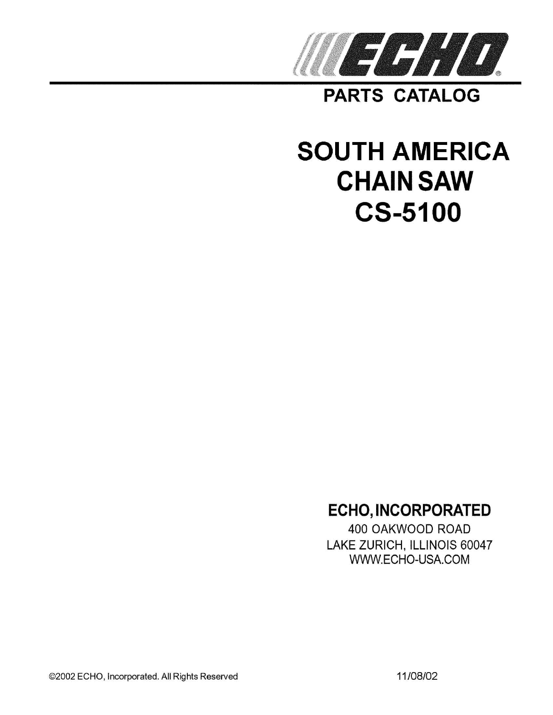

**PARTS CATALOG** 

# **SOUTH AMERICA CHAIN SAW CS-5100**

# **ECHO, INCORPORATED**

400 OAKWOOD ROAD LAKE ZURICH, ILLINOIS 60047 WWW.ECHO-USA.COM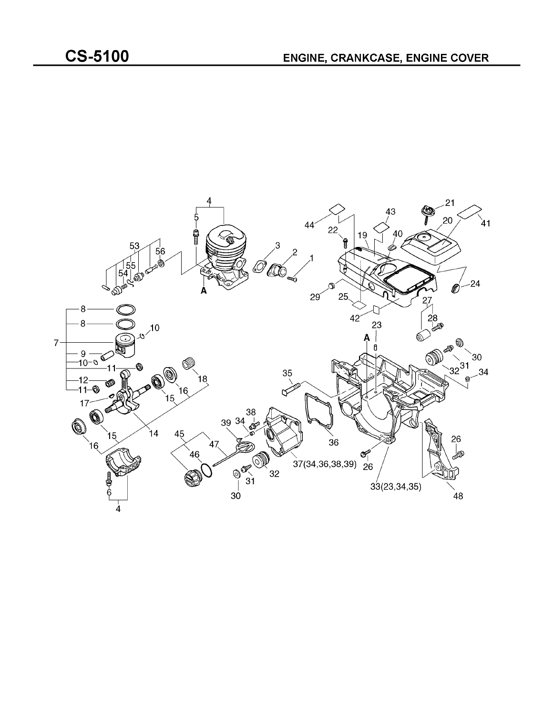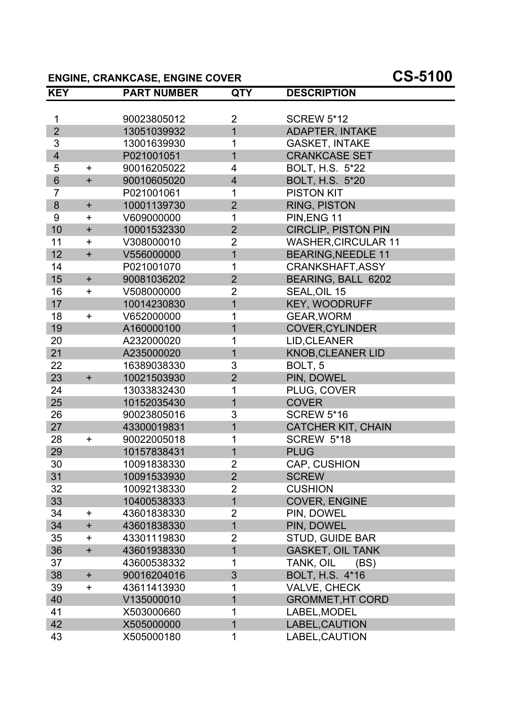# **ENGINE, CRANKCASE, ENGINE COVER CS-5100**

| <b>KEY</b>              |           | <b>PART NUMBER</b> | <b>QTY</b>              | <b>DESCRIPTION</b>         |
|-------------------------|-----------|--------------------|-------------------------|----------------------------|
|                         |           |                    |                         |                            |
| 1                       |           | 90023805012        | $\overline{2}$          | <b>SCREW 5*12</b>          |
| $\overline{2}$          |           | 13051039932        | $\overline{1}$          | <b>ADAPTER, INTAKE</b>     |
| 3                       |           | 13001639930        | 1                       | <b>GASKET, INTAKE</b>      |
| $\overline{\mathbf{4}}$ |           | P021001051         | $\overline{1}$          | <b>CRANKCASE SET</b>       |
| 5                       | $\ddot{}$ | 90016205022        | 4                       | BOLT, H.S. 5*22            |
| $6\phantom{1}$          | $\ddot{}$ | 90010605020        | $\overline{\mathbf{4}}$ | <b>BOLT, H.S. 5*20</b>     |
| $\overline{7}$          |           | P021001061         | 1                       | <b>PISTON KIT</b>          |
| 8                       | $+$       | 10001139730        | $\overline{2}$          | <b>RING, PISTON</b>        |
| 9                       | $\pm$     | V609000000         | 1                       | PIN, ENG 11                |
| 10                      | $+$       | 10001532330        | $\overline{2}$          | <b>CIRCLIP, PISTON PIN</b> |
| 11                      | $\ddot{}$ | V308000010         | $\overline{2}$          | <b>WASHER, CIRCULAR 11</b> |
| 12                      | $\ddot{}$ | V556000000         | $\overline{1}$          | <b>BEARING, NEEDLE 11</b>  |
| 14                      |           | P021001070         | 1                       | CRANKSHAFT, ASSY           |
| 15                      | $\ddot{}$ | 90081036202        | $\overline{2}$          | BEARING, BALL 6202         |
| 16                      | $\ddot{}$ | V508000000         | $\overline{2}$          | SEAL, OIL 15               |
| 17                      |           | 10014230830        | $\mathbf 1$             | KEY, WOODRUFF              |
| 18                      | $\ddot{}$ | V652000000         | 1                       | <b>GEAR, WORM</b>          |
| 19                      |           | A160000100         | $\overline{1}$          | <b>COVER, CYLINDER</b>     |
| 20                      |           | A232000020         | 1                       | LID, CLEANER               |
| 21                      |           | A235000020         | $\overline{1}$          | <b>KNOB, CLEANER LID</b>   |
| 22                      |           | 16389038330        | 3                       | BOLT, 5                    |
| 23                      | $+$       | 10021503930        | $\overline{2}$          | PIN, DOWEL                 |
| 24                      |           | 13033832430        | 1                       | PLUG, COVER                |
| 25                      |           | 10152035430        | $\overline{1}$          | <b>COVER</b>               |
| 26                      |           | 90023805016        | 3                       | <b>SCREW 5*16</b>          |
| 27                      |           | 43300019831        | $\overline{1}$          | <b>CATCHER KIT, CHAIN</b>  |
| 28                      | $\ddot{}$ | 90022005018        | 1                       | <b>SCREW 5*18</b>          |
| 29                      |           | 10157838431        | $\mathbf 1$             | <b>PLUG</b>                |
| 30                      |           | 10091838330        | $\overline{2}$          | <b>CAP, CUSHION</b>        |
| 31                      |           | 10091533930        | $\overline{2}$          | <b>SCREW</b>               |
| 32                      |           | 10092138330        | $\overline{2}$          | <b>CUSHION</b>             |
| 33                      |           | 10400538333        | 1                       | <b>COVER, ENGINE</b>       |
| 34                      | +         | 43601838330        | $\overline{2}$          | PIN, DOWEL                 |
| 34                      | $\ddot{}$ | 43601838330        | $\mathbf{1}$            | PIN, DOWEL                 |
| 35                      | $\pm$     | 43301119830        | 2                       | <b>STUD, GUIDE BAR</b>     |
| 36                      | $\ddot{}$ | 43601938330        | 1                       | <b>GASKET, OIL TANK</b>    |
| 37                      |           | 43600538332        | 1                       | TANK, OIL<br>(BS)          |
| 38                      | $\ddot{}$ | 90016204016        | 3                       | <b>BOLT, H.S. 4*16</b>     |
| 39                      | $\ddot{}$ | 43611413930        | 1                       | <b>VALVE, CHECK</b>        |
| 40                      |           | V135000010         | 1                       | <b>GROMMET, HT CORD</b>    |
| 41                      |           | X503000660         | 1                       | LABEL, MODEL               |
| 42                      |           | X505000000         | $\mathbf 1$             | LABEL, CAUTION             |
| 43                      |           | X505000180         | 1                       | LABEL, CAUTION             |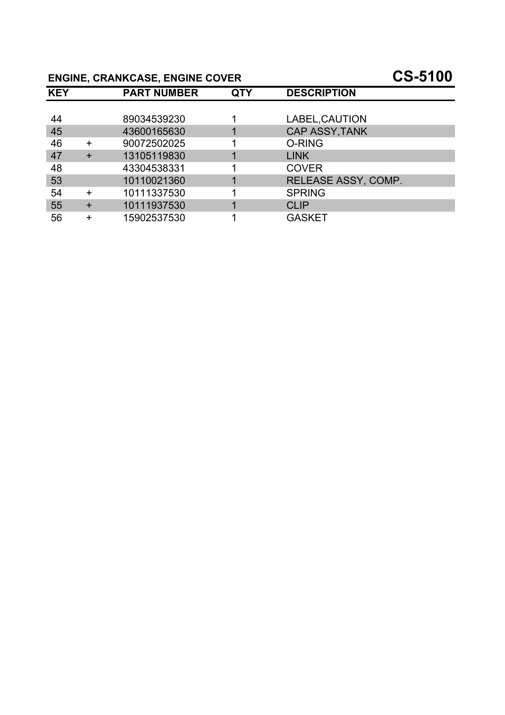# **ENGINE, CRANKCASE, ENGINE COVER CS-5100**

| <b>KEY</b> |        | <b>PART NUMBER</b> | QTY | <b>DESCRIPTION</b>    |
|------------|--------|--------------------|-----|-----------------------|
|            |        |                    |     |                       |
| 44         |        | 89034539230        |     | LABEL, CAUTION        |
| 45         |        | 43600165630        |     | <b>CAP ASSY, TANK</b> |
| 46         | $\div$ | 90072502025        |     | O-RING                |
| 47         |        | 13105119830        |     | <b>LINK</b>           |
| 48         |        | 43304538331        |     | <b>COVER</b>          |
| 53         |        | 10110021360        |     | RELEASE ASSY, COMP.   |
| 54         | $+$    | 10111337530        |     | <b>SPRING</b>         |
| 55         | $\pm$  | 10111937530        |     | <b>CLIP</b>           |
| 56         |        | 15902537530        |     | <b>GASKET</b>         |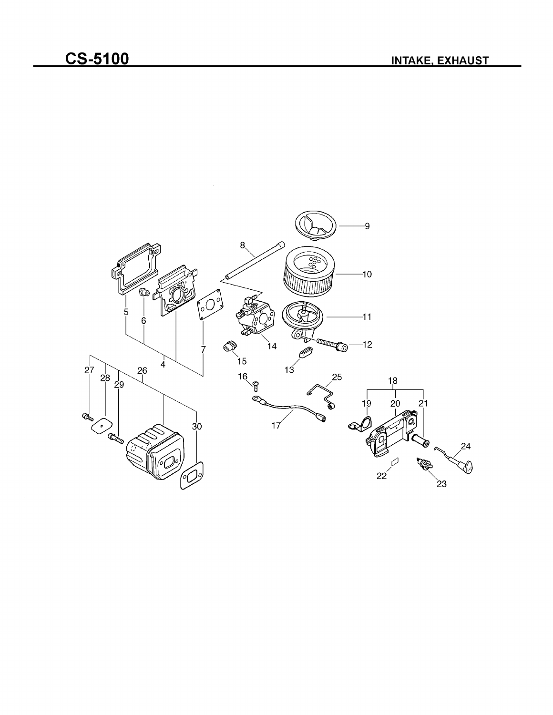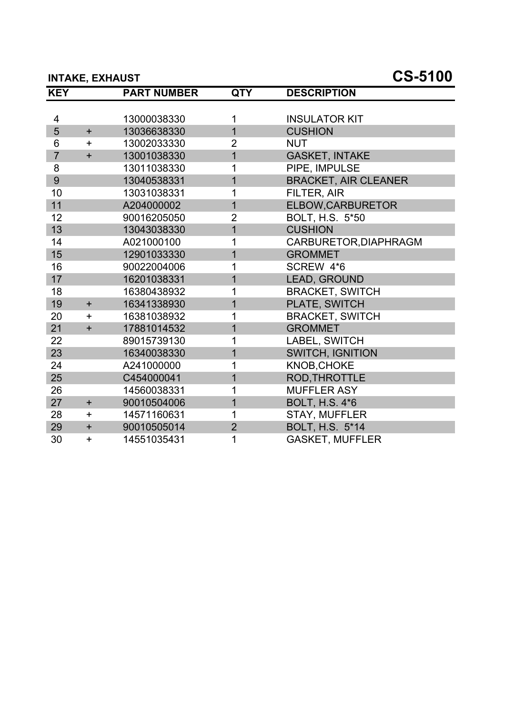#### **INTAKE, EXHAUST CS-5100**

| <b>KEY</b>     |           | <b>PART NUMBER</b> | <b>QTY</b>     | <b>DESCRIPTION</b>          |
|----------------|-----------|--------------------|----------------|-----------------------------|
|                |           |                    |                |                             |
| 4              |           | 13000038330        | 1              | <b>INSULATOR KIT</b>        |
| 5              | $+$       | 13036638330        | $\overline{1}$ | <b>CUSHION</b>              |
| 6              | $+$       | 13002033330        | $\overline{2}$ | <b>NUT</b>                  |
| $\overline{7}$ | $+$       | 13001038330        | $\overline{1}$ | <b>GASKET, INTAKE</b>       |
| 8              |           | 13011038330        | 1              | PIPE, IMPULSE               |
| 9              |           | 13040538331        | $\mathbf{1}$   | <b>BRACKET, AIR CLEANER</b> |
| 10             |           | 13031038331        | 1              | FILTER, AIR                 |
| 11             |           | A204000002         | $\overline{1}$ | ELBOW, CARBURETOR           |
| 12             |           | 90016205050        | $\overline{2}$ | BOLT, H.S. 5*50             |
| 13             |           | 13043038330        | $\overline{1}$ | <b>CUSHION</b>              |
| 14             |           | A021000100         | 1              | CARBURETOR, DIAPHRAGM       |
| 15             |           | 12901033330        | $\overline{1}$ | <b>GROMMET</b>              |
| 16             |           | 90022004006        | 1              | SCREW 4*6                   |
| 17             |           | 16201038331        | $\overline{1}$ | LEAD, GROUND                |
| 18             |           | 16380438932        | 1              | <b>BRACKET, SWITCH</b>      |
| 19             | $+$       | 16341338930        | $\overline{1}$ | PLATE, SWITCH               |
| 20             | $+$       | 16381038932        | 1              | <b>BRACKET, SWITCH</b>      |
| 21             | $\ddot{}$ | 17881014532        | $\overline{1}$ | <b>GROMMET</b>              |
| 22             |           | 89015739130        | 1              | LABEL, SWITCH               |
| 23             |           | 16340038330        | $\mathbf{1}$   | <b>SWITCH, IGNITION</b>     |
| 24             |           | A241000000         | 1              | KNOB, CHOKE                 |
| 25             |           | C454000041         | $\overline{1}$ | <b>ROD, THROTTLE</b>        |
| 26             |           | 14560038331        | 1              | <b>MUFFLER ASY</b>          |
| 27             | $+$       | 90010504006        | $\overline{1}$ | <b>BOLT, H.S. 4*6</b>       |
| 28             | $\ddot{}$ | 14571160631        | 1              | <b>STAY, MUFFLER</b>        |
| 29             | $\ddot{}$ | 90010505014        | $\overline{2}$ | BOLT, H.S. 5*14             |
| 30             | $\ddot{}$ | 14551035431        | 1              | <b>GASKET, MUFFLER</b>      |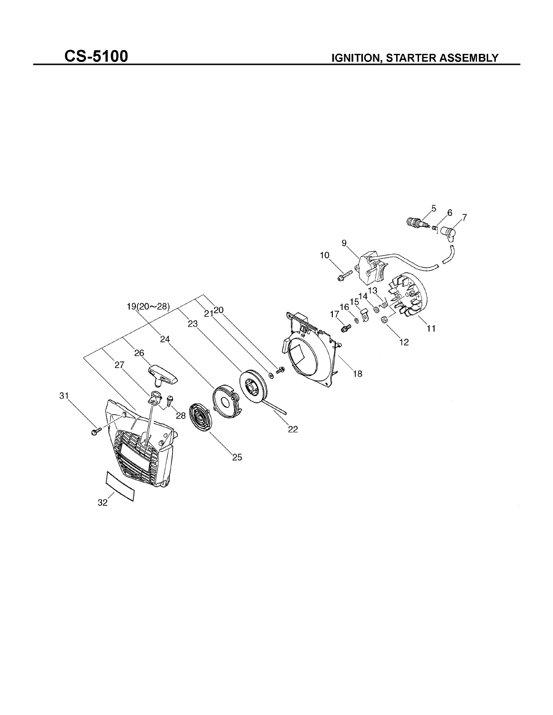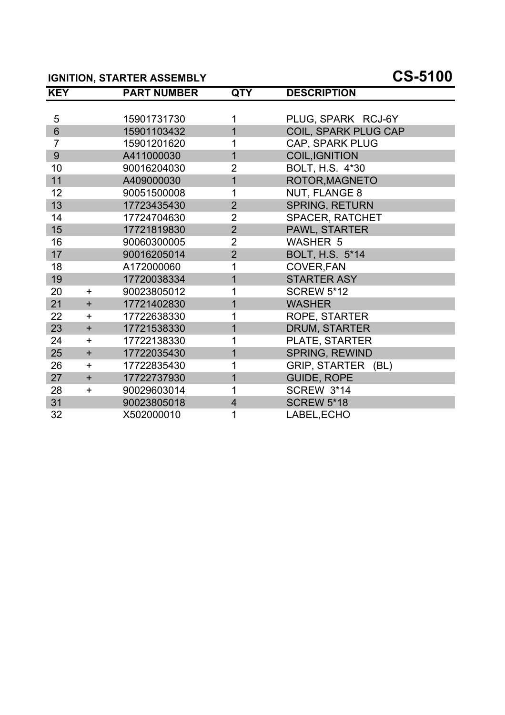# **IGNITION, STARTER ASSEMBLY CS-5100**

| <b>KEY</b>     |            | <b>PART NUMBER</b> | <b>QTY</b>     | <b>DESCRIPTION</b>     |
|----------------|------------|--------------------|----------------|------------------------|
|                |            |                    |                |                        |
| 5              |            | 15901731730        | 1              | PLUG, SPARK RCJ-6Y     |
| $6\phantom{1}$ |            | 15901103432        | $\overline{1}$ | COIL, SPARK PLUG CAP   |
| $\overline{7}$ |            | 15901201620        | 1              | CAP, SPARK PLUG        |
| 9              |            | A411000030         | $\overline{1}$ | <b>COIL, IGNITION</b>  |
| 10             |            | 90016204030        | $\overline{2}$ | BOLT, H.S. 4*30        |
| 11             |            | A409000030         | $\overline{1}$ | ROTOR, MAGNETO         |
| 12             |            | 90051500008        | 1              | NUT, FLANGE 8          |
| 13             |            | 17723435430        | $\overline{2}$ | <b>SPRING, RETURN</b>  |
| 14             |            | 17724704630        | $\overline{2}$ | <b>SPACER, RATCHET</b> |
| 15             |            | 17721819830        | $\overline{2}$ | PAWL, STARTER          |
| 16             |            | 90060300005        | $\overline{2}$ | <b>WASHER 5</b>        |
| 17             |            | 90016205014        | $\overline{2}$ | BOLT, H.S. 5*14        |
| 18             |            | A172000060         | 1              | COVER, FAN             |
| 19             |            | 17720038334        | $\overline{1}$ | <b>STARTER ASY</b>     |
| 20             | $+$        | 90023805012        | 1              | <b>SCREW 5*12</b>      |
| 21             | $+$        | 17721402830        | $\overline{1}$ | <b>WASHER</b>          |
| 22             | $\pm$      | 17722638330        | 1              | ROPE, STARTER          |
| 23             | $\ddot{}$  | 17721538330        | $\overline{1}$ | <b>DRUM, STARTER</b>   |
| 24             | $\ddot{}$  | 17722138330        | 1              | PLATE, STARTER         |
| 25             | $+$        | 17722035430        | $\overline{1}$ | SPRING, REWIND         |
| 26             | $\ddagger$ | 17722835430        | 1              | GRIP, STARTER (BL)     |
| 27             | $+$        | 17722737930        | $\overline{1}$ | <b>GUIDE, ROPE</b>     |
| 28             | $\ddot{}$  | 90029603014        | 1              | <b>SCREW 3*14</b>      |
| 31             |            | 90023805018        | $\overline{4}$ | <b>SCREW 5*18</b>      |
| 32             |            | X502000010         | 1              | LABEL, ECHO            |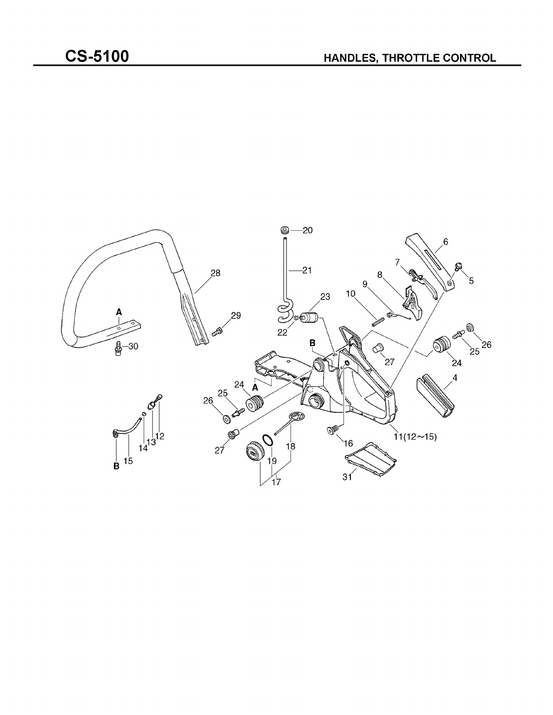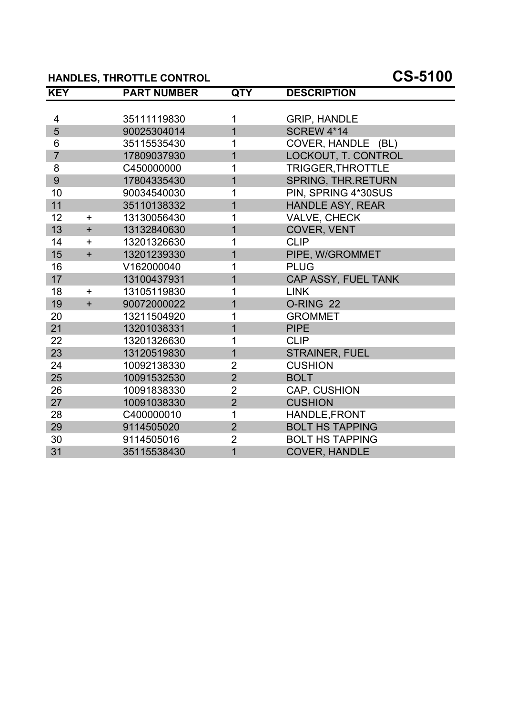# **HANDLES, THROTTLE CONTROL CS-5100**

| <b>KEY</b>     |           | <b>PART NUMBER</b> | <b>QTY</b>     | <b>DESCRIPTION</b>        |
|----------------|-----------|--------------------|----------------|---------------------------|
|                |           |                    |                |                           |
| 4              |           | 35111119830        | 1              | <b>GRIP, HANDLE</b>       |
| 5              |           | 90025304014        | $\overline{1}$ | <b>SCREW 4*14</b>         |
| 6              |           | 35115535430        | 1              | COVER, HANDLE (BL)        |
| $\overline{7}$ |           | 17809037930        | $\overline{1}$ | LOCKOUT, T. CONTROL       |
| 8              |           | C450000000         | 1              | TRIGGER, THROTTLE         |
| 9              |           | 17804335430        | $\overline{1}$ | <b>SPRING, THR.RETURN</b> |
| 10             |           | 90034540030        | 1              | PIN, SPRING 4*30SUS       |
| 11             |           | 35110138332        | $\overline{1}$ | <b>HANDLE ASY, REAR</b>   |
| 12             | $+$       | 13130056430        | 1              | VALVE, CHECK              |
| 13             | $+$       | 13132840630        | $\overline{1}$ | COVER, VENT               |
| 14             | $\ddag$   | 13201326630        | 1              | <b>CLIP</b>               |
| 15             | $\ddot{}$ | 13201239330        | $\overline{1}$ | PIPE, W/GROMMET           |
| 16             |           | V162000040         | 1              | <b>PLUG</b>               |
| 17             |           | 13100437931        | $\overline{1}$ | CAP ASSY, FUEL TANK       |
| 18             | $\ddot{}$ | 13105119830        | 1              | <b>LINK</b>               |
| 19             | $+$       | 90072000022        | $\overline{1}$ | O-RING 22                 |
| 20             |           | 13211504920        | 1              | <b>GROMMET</b>            |
| 21             |           | 13201038331        | $\overline{1}$ | <b>PIPE</b>               |
| 22             |           | 13201326630        | 1              | <b>CLIP</b>               |
| 23             |           | 13120519830        | $\overline{1}$ | STRAINER, FUEL            |
| 24             |           | 10092138330        | $\overline{2}$ | <b>CUSHION</b>            |
| 25             |           | 10091532530        | $\overline{2}$ | <b>BOLT</b>               |
| 26             |           | 10091838330        | $\overline{2}$ | <b>CAP, CUSHION</b>       |
| 27             |           | 10091038330        | $\overline{2}$ | <b>CUSHION</b>            |
| 28             |           | C400000010         | 1              | HANDLE, FRONT             |
| 29             |           | 9114505020         | $\overline{2}$ | <b>BOLT HS TAPPING</b>    |
| 30             |           | 9114505016         | $\overline{2}$ | <b>BOLT HS TAPPING</b>    |
| 31             |           | 35115538430        | $\overline{1}$ | <b>COVER, HANDLE</b>      |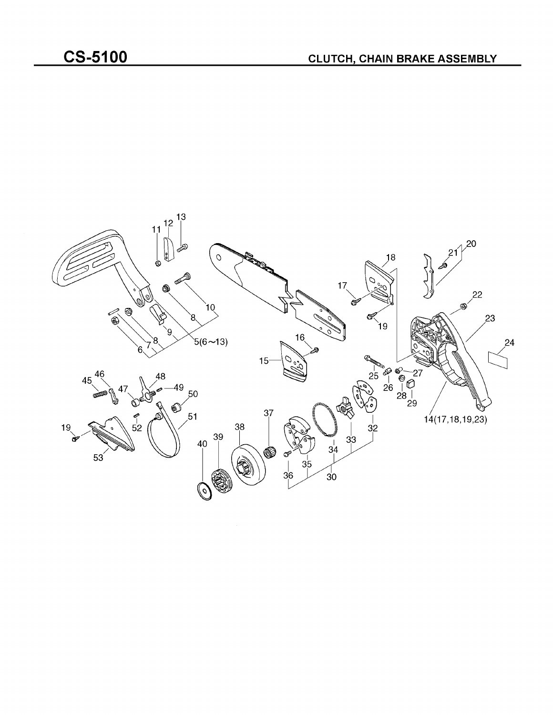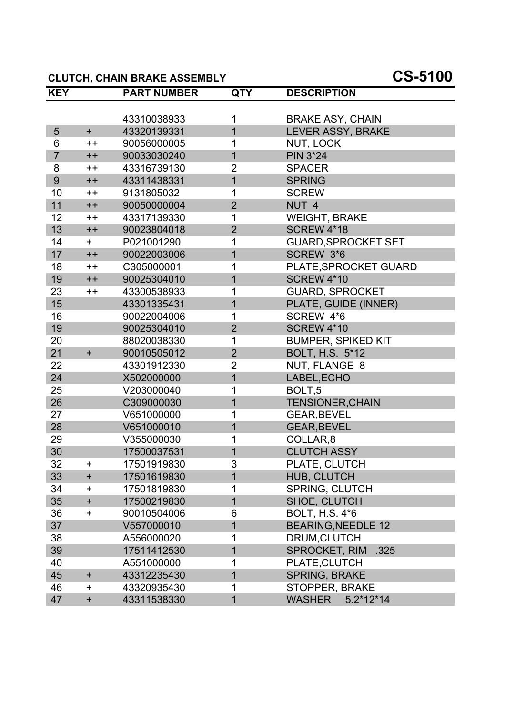# **CLUTCH, CHAIN BRAKE ASSEMBLY CS-5100**

| <b>KEY</b>     |                 | <b>PART NUMBER</b> | <b>QTY</b>     | <b>DESCRIPTION</b>           |
|----------------|-----------------|--------------------|----------------|------------------------------|
|                |                 |                    |                |                              |
|                |                 | 43310038933        | 1              | <b>BRAKE ASY, CHAIN</b>      |
| 5              | $+$             | 43320139331        | $\overline{1}$ | LEVER ASSY, BRAKE            |
| 6              | $++$            | 90056000005        | 1              | NUT, LOCK                    |
| $\overline{7}$ | $++$            | 90033030240        | $\mathbf 1$    | <b>PIN 3*24</b>              |
| 8              | $^{\mathrm{+}}$ | 43316739130        | $\overline{2}$ | <b>SPACER</b>                |
| 9              | $++$            | 43311438331        | $\overline{1}$ | <b>SPRING</b>                |
| 10             | $++$            | 9131805032         | 1              | <b>SCREW</b>                 |
| 11             | $++$            | 90050000004        | $\overline{2}$ | NUT <sub>4</sub>             |
| 12             | $++$            | 43317139330        | 1              | <b>WEIGHT, BRAKE</b>         |
| 13             | $++$            | 90023804018        | $\overline{2}$ | <b>SCREW 4*18</b>            |
| 14             | $+$             | P021001290         | 1              | <b>GUARD, SPROCKET SET</b>   |
| 17             | $++$            | 90022003006        | $\overline{1}$ | SCREW 3*6                    |
| 18             | $++$            | C305000001         | 1              | PLATE, SPROCKET GUARD        |
| 19             | $++$            | 90025304010        | $\overline{1}$ | <b>SCREW 4*10</b>            |
| 23             | $++$            | 43300538933        | 1              | <b>GUARD, SPROCKET</b>       |
| 15             |                 | 43301335431        | $\mathbf 1$    | PLATE, GUIDE (INNER)         |
| 16             |                 | 90022004006        | 1              | SCREW 4*6                    |
| 19             |                 | 90025304010        | $\overline{2}$ | <b>SCREW 4*10</b>            |
| 20             |                 | 88020038330        | 1              | <b>BUMPER, SPIKED KIT</b>    |
| 21             | $+$             | 90010505012        | $\overline{2}$ | BOLT, H.S. 5*12              |
| 22             |                 | 43301912330        | $\overline{2}$ | NUT, FLANGE 8                |
| 24             |                 | X502000000         | $\overline{1}$ | LABEL, ECHO                  |
| 25             |                 | V203000040         | 1              | BOLT <sub>,5</sub>           |
| 26             |                 | C309000030         | $\overline{1}$ | <b>TENSIONER, CHAIN</b>      |
| 27             |                 | V651000000         | 1              | <b>GEAR, BEVEL</b>           |
| 28             |                 | V651000010         | 1              | <b>GEAR, BEVEL</b>           |
| 29             |                 | V355000030         | 1              | COLLAR,8                     |
| 30             |                 | 17500037531        | $\overline{1}$ | <b>CLUTCH ASSY</b>           |
| 32             | $\pm$           | 17501919830        | 3              | PLATE, CLUTCH                |
| 33             | $\pm$           | 17501619830        | 1              | <b>HUB, CLUTCH</b>           |
| 34             | $\pm$           | 17501819830        | 1              | <b>SPRING, CLUTCH</b>        |
| 35             | $\ddot{}$       | 17500219830        | $\overline{1}$ | SHOE, CLUTCH                 |
| 36             | $\ddot{}$       | 90010504006        | 6              | <b>BOLT, H.S. 4*6</b>        |
| 37             |                 | V557000010         | 1              | <b>BEARING, NEEDLE 12</b>    |
| 38             |                 | A556000020         | 1              | DRUM, CLUTCH                 |
| 39             |                 | 17511412530        | 1              | <b>SPROCKET, RIM</b><br>.325 |
| 40             |                 | A551000000         | 1              | PLATE, CLUTCH                |
| 45             | $\ddot{}$       | 43312235430        | 1              | <b>SPRING, BRAKE</b>         |
| 46             | $\pm$           | 43320935430        | 1              | <b>STOPPER, BRAKE</b>        |
| 47             | $\ddot{}$       | 43311538330        | 1              | <b>WASHER</b><br>$5.2*12*14$ |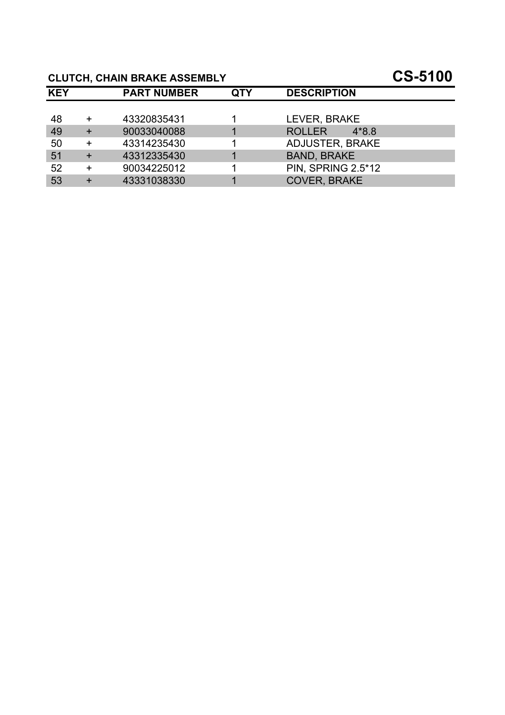# **CLUTCH, CHAIN BRAKE ASSEMBLY CS-5100**

| <b>KEY</b> |           | <b>PART NUMBER</b> | QTY | <b>DESCRIPTION</b>       |
|------------|-----------|--------------------|-----|--------------------------|
|            |           |                    |     |                          |
| 48         |           | 43320835431        |     | LEVER, BRAKE             |
| 49         |           | 90033040088        |     | <b>ROLLER</b><br>$4*8.8$ |
| 50         | $\ddot{}$ | 43314235430        |     | <b>ADJUSTER, BRAKE</b>   |
| 51         | $+$       | 43312335430        |     | <b>BAND, BRAKE</b>       |
| 52         | $\ddot{}$ | 90034225012        |     | PIN, SPRING 2.5*12       |
| 53         |           | 43331038330        |     | <b>COVER, BRAKE</b>      |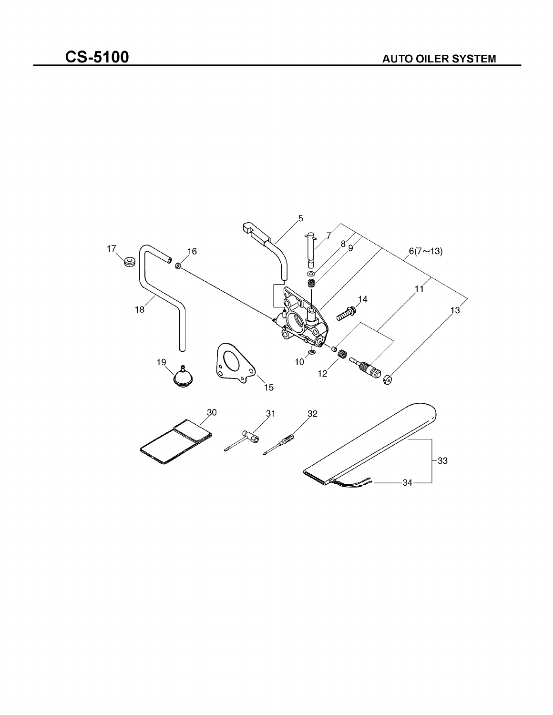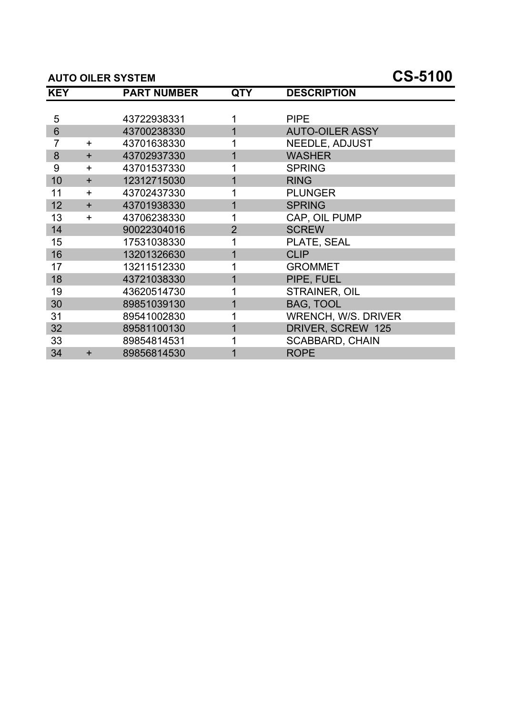#### **AUTO OILER SYSTEM CS-5100**

| <b>KEY</b>     |           | <b>PART NUMBER</b> | <b>QTY</b>     | <b>DESCRIPTION</b>         |
|----------------|-----------|--------------------|----------------|----------------------------|
|                |           |                    |                |                            |
| 5              |           | 43722938331        |                | <b>PIPE</b>                |
| $6\phantom{1}$ |           | 43700238330        |                | <b>AUTO-OILER ASSY</b>     |
| 7              | $\ddot{}$ | 43701638330        |                | <b>NEEDLE, ADJUST</b>      |
| 8              | $\ddot{}$ | 43702937330        |                | <b>WASHER</b>              |
| 9              | $\ddot{}$ | 43701537330        |                | <b>SPRING</b>              |
| 10             | $+$       | 12312715030        |                | <b>RING</b>                |
| 11             | $\ddot{}$ | 43702437330        |                | <b>PLUNGER</b>             |
| 12             | $\ddot{}$ | 43701938330        | 1              | <b>SPRING</b>              |
| 13             | $\ddot{}$ | 43706238330        | 1              | CAP, OIL PUMP              |
| 14             |           | 90022304016        | $\overline{2}$ | <b>SCREW</b>               |
| 15             |           | 17531038330        | 1              | PLATE, SEAL                |
| 16             |           | 13201326630        | 1              | <b>CLIP</b>                |
| 17             |           | 13211512330        |                | <b>GROMMET</b>             |
| 18             |           | 43721038330        |                | PIPE, FUEL                 |
| 19             |           | 43620514730        |                | <b>STRAINER, OIL</b>       |
| 30             |           | 89851039130        | 1              | <b>BAG, TOOL</b>           |
| 31             |           | 89541002830        |                | <b>WRENCH, W/S. DRIVER</b> |
| 32             |           | 89581100130        | 1              | DRIVER, SCREW 125          |
| 33             |           | 89854814531        |                | <b>SCABBARD, CHAIN</b>     |
| 34             | $\ddot{}$ | 89856814530        |                | <b>ROPE</b>                |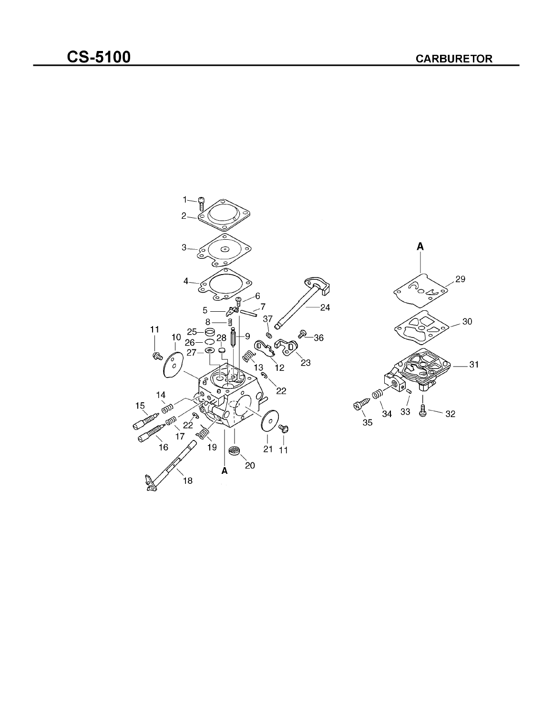